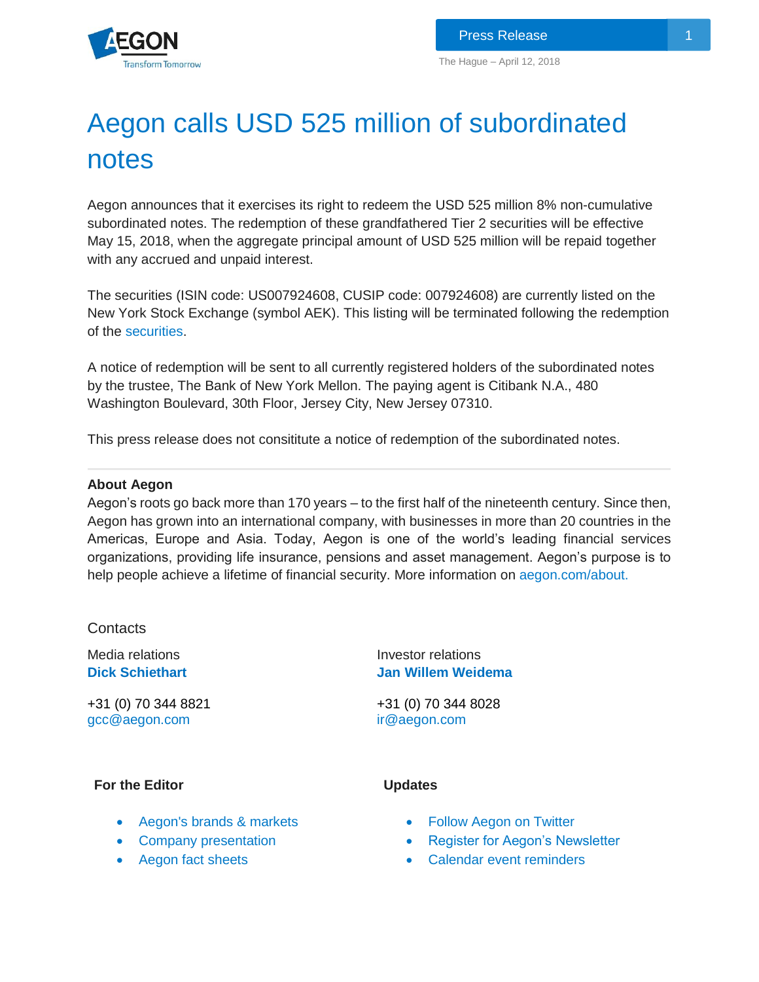

# Aegon calls USD 525 million of subordinated notes

Aegon announces that it exercises its right to redeem the USD 525 million 8% non-cumulative subordinated notes. The redemption of these grandfathered Tier 2 securities will be effective May 15, 2018, when the aggregate principal amount of USD 525 million will be repaid together with any accrued and unpaid interest.

The securities (ISIN code: US007924608, CUSIP code: 007924608) are currently listed on the New York Stock Exchange (symbol AEK). This listing will be terminated following the redemption of the [securities.](https://www.aegon.com/siteassets/investors/debt-instruments/capital-securities/aegon-subordinated-notes-prospectus-supplement.pdf)

A notice of redemption will be sent to all currently registered holders of the subordinated notes by the trustee, The Bank of New York Mellon. The paying agent is Citibank N.A., 480 Washington Boulevard, 30th Floor, Jersey City, New Jersey 07310.

This press release does not consititute a notice of redemption of the subordinated notes.

## **About Aegon**

Aegon's roots go back more than 170 years – to the first half of the nineteenth century. Since then, Aegon has grown into an international company, with businesses in more than 20 countries in the Americas, Europe and Asia. Today, Aegon is one of the world's leading financial services organizations, providing life insurance, pensions and asset management. Aegon's purpose is to help people achieve a lifetime of financial security. More information on [aegon.com/about.](http://www.aegon.com/about)

Contacts

Media relations **[Dick](http://www.aegon.com/Home/Investors/Contact/Media-Team/#50477) Schiethart**

+31 (0) 70 344 8821 [gcc@aegon.com](mailto:gcc@aegon.com)

Investor relations **Jan [Willem Weidema](http://www.aegon.com/en/Home/Investors/Contact/Investor-Relations-Team/#34471)** 

+31 (0) 70 344 8028 [ir@aegon.com](mailto:ir@aegon.com)

**Updates**

## **For the Editor**

- [Aegon's brands & markets](http://www.aegon.com/en/Home/About/Brands--markets/?id=62629)
- [Company presentation](http://www.aegon.com/en/Home/Investors/News/Presentations/Archive/Introduction-to-Aegon/?id=31260)
- [Aegon fact sheets](http://www.aegon.com/en/Home/Investors/Fact-Sheets/?id=43432)
- [Follow Aegon on Twitter](http://twitter.com/Aegon)
- [Register for Aegon's Newsletter](http://aegon.us8.list-manage.com/subscribe?u=bed4350c3e2011a47e35e8081&id=8bc411d73f)
- [Calendar event reminders](http://www.aegon.com/en/Home/Investors/Calendar/)